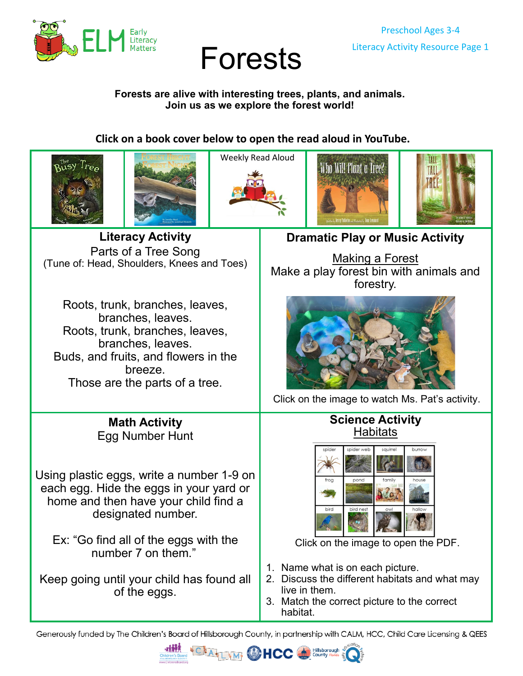

# Preschool Ages 3-4 Literacy Activity Resource Page 1 Forests

#### **Forests are alive with interesting trees, plants, and animals. Join us as we explore the forest world!**

# **Click on a book cover below to open the read aloud in YouTube.**











**Literacy Activity** Parts of a Tree Song (Tune of: Head, Shoulders, Knees and Toes)

Roots, trunk, branches, leaves, branches, leaves. Roots, trunk, branches, leaves, branches, leaves. Buds, and fruits, and flowers in the breeze. Those are the parts of a tree.

> **Math Activity** Egg Number Hunt

Using plastic eggs, write a number 1-9 on each egg. Hide the eggs in your yard or home and then have your child find a designated number.

Ex: "Go find all of the eggs with the number 7 on them."

Keep going until your child has found all of the eggs.

# **Dramatic Play or Music Activity**

[Making a Forest](https://youtu.be/G-VeBsPGJdo) Make a play forest bin with animals and forestry.



[Click on the image to watch Ms. Pat](https://youtu.be/G-VeBsPGJdo)'s activity.

### **Science Activity [Habitats](https://26d1cb60-a951-4721-b330-1bf8fd66c702.filesusr.com/ugd/6d6c33_2f23359f3fd04c139bd361e2db500de2.pdf)**



[Click on the image to open the PDF.](https://26d1cb60-a951-4721-b330-1bf8fd66c702.filesusr.com/ugd/6d6c33_2f23359f3fd04c139bd361e2db500de2.pdf)

- 1. Name what is on each picture.
- 2. Discuss the different habitats and what may live in them.
- 3. Match the correct picture to the correct habitat.

Generously funded by The Children's Board of Hillsborough County, in partnership with CALM, HCC, Child Care Licensing & QEES